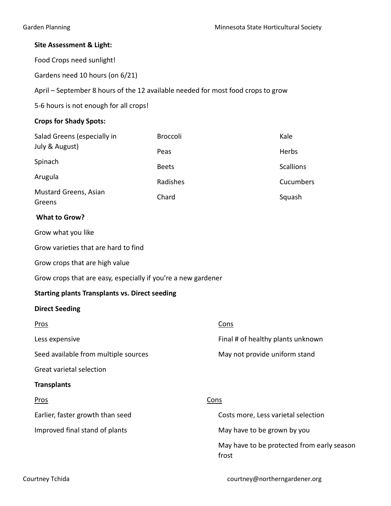## Site Assessment & Light:

Food Crops need sunlight!

Gardens need 10 hours (on 6/21)

April – September 8 hours of the 12 available needed for most food crops to grow

5-6 hours is not enough for all crops!

## Crops for Shady Spots:

| Salad Greens (especially in     | <b>Broccoli</b> | Kale             |
|---------------------------------|-----------------|------------------|
| July & August)                  | Peas            | Herbs            |
| Spinach                         | <b>Beets</b>    | <b>Scallions</b> |
| Arugula                         | Radishes        | Cucumbers        |
| Mustard Greens, Asian<br>Greens | Chard           | Squash           |

### What to Grow?

Grow what you like

Grow varieties that are hard to find

Grow crops that are high value

Grow crops that are easy, especially if you're a new gardener

## Starting plants Transplants vs. Direct seeding

#### Direct Seeding

| Pros                                 | Cons                                                |
|--------------------------------------|-----------------------------------------------------|
| Less expensive                       | Final # of healthy plants unknown                   |
| Seed available from multiple sources | May not provide uniform stand                       |
| Great varietal selection             |                                                     |
| <b>Transplants</b>                   |                                                     |
| Pros                                 | <b>Cons</b>                                         |
| Earlier, faster growth than seed     | Costs more, Less varietal selection                 |
| Improved final stand of plants       | May have to be grown by you                         |
|                                      | May have to be protected from early season<br>frost |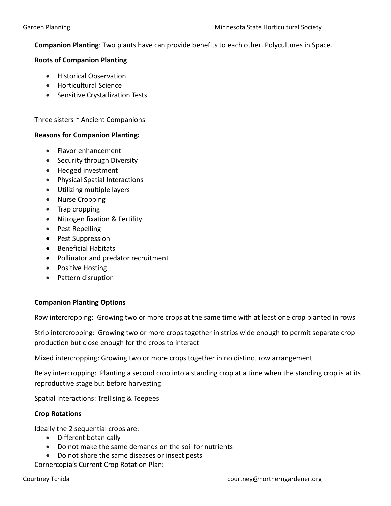Companion Planting: Two plants have can provide benefits to each other. Polycultures in Space.

### Roots of Companion Planting

- **•** Historical Observation
- Horticultural Science
- Sensitive Crystallization Tests

Three sisters ~ Ancient Companions

### Reasons for Companion Planting:

- Flavor enhancement
- Security through Diversity
- Hedged investment
- Physical Spatial Interactions
- Utilizing multiple layers
- Nurse Cropping
- Trap cropping
- Nitrogen fixation & Fertility
- Pest Repelling
- Pest Suppression
- Beneficial Habitats
- Pollinator and predator recruitment
- Positive Hosting
- Pattern disruption

## Companion Planting Options

Row intercropping: Growing two or more crops at the same time with at least one crop planted in rows

Strip intercropping: Growing two or more crops together in strips wide enough to permit separate crop production but close enough for the crops to interact

Mixed intercropping: Growing two or more crops together in no distinct row arrangement

Relay intercropping: Planting a second crop into a standing crop at a time when the standing crop is at its reproductive stage but before harvesting

Spatial Interactions: Trellising & Teepees

## Crop Rotations

Ideally the 2 sequential crops are:

- Different botanically
- Do not make the same demands on the soil for nutrients
- Do not share the same diseases or insect pests

Cornercopia's Current Crop Rotation Plan: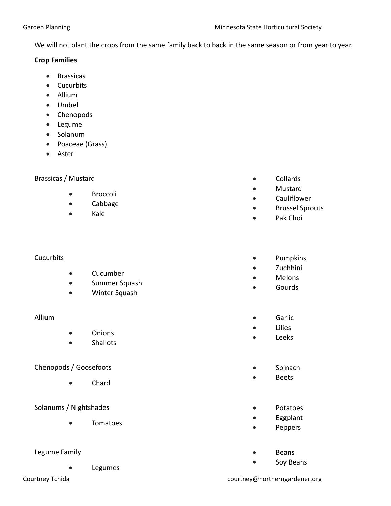We will not plant the crops from the same family back to back in the same season or from year to year.

## Crop Families

- **•** Brassicas
- Cucurbits
- Allium
- Umbel
- Chenopods
- Legume
- Solanum
- Poaceae (Grass)
- Aster

# Brassicas / Mustard

- **•** Broccoli
- Cabbage
- Kale

# **Cucurbits**

- Cucumber
- **•** Summer Squash
- Winter Squash

# Allium

- Onions
- Shallots

# Chenopods / Goosefoots

Chard

# Solanums / Nightshades

Tomatoes

# Legume Family

- Legumes
- 
- Collards
- Mustard
- Cauliflower
- Brussel Sprouts
- Pak Choi

# • Pumpkins

- Zuchhini
- Melons
- Gourds
- **Garlic**
- Lilies
- Leeks
- Spinach
- Beets
- Potatoes
- Eggplant
- Peppers
- Beans
- Soy Beans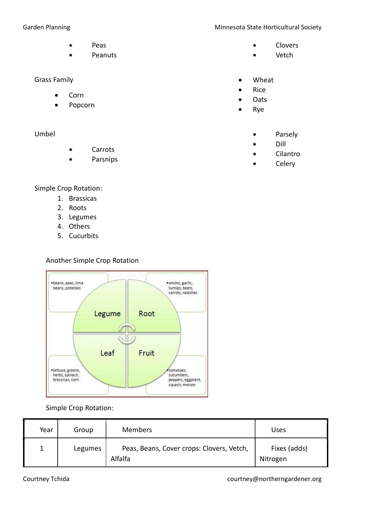- Peas
- Peanuts

### Grass Family

- Corn
- Popcorn

## Umbel

- Carrots
- Parsnips

# Garden Planning **Minnesota State Horticultural Society** Minnesota State Horticultural Society

- Clovers
- Vetch
- Wheat
- Rice
- **Oats**
- Rye
	- Parsely
	- Dill
	- Cilantro
	- Celery

# Simple Crop Rotation:

- 1. Brassicas
- 2. Roots
- 3. Legumes
- 4. Others
- 5. Cucurbits

# Another Simple Crop Rotation



# Simple Crop Rotation:

| Year | Group   | <b>Members</b>                                       | Uses                     |
|------|---------|------------------------------------------------------|--------------------------|
|      | Legumes | Peas, Beans, Cover crops: Clovers, Vetch,<br>Alfalfa | Fixes (adds)<br>Nitrogen |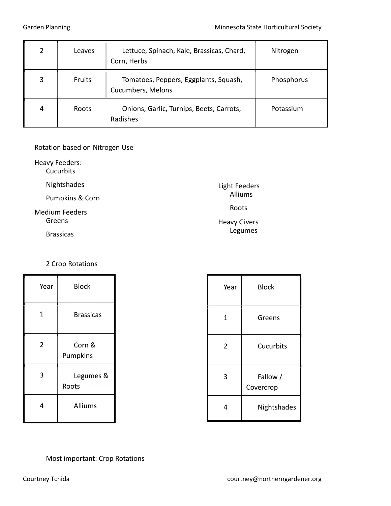| າ | Leaves | Lettuce, Spinach, Kale, Brassicas, Chard,<br>Corn, Herbs   | Nitrogen   |
|---|--------|------------------------------------------------------------|------------|
|   | Fruits | Tomatoes, Peppers, Eggplants, Squash,<br>Cucumbers, Melons | Phosphorus |
| 4 | Roots  | Onions, Garlic, Turnips, Beets, Carrots,<br>Radishes       | Potassium  |

### Rotation based on Nitrogen Use

Heavy Feeders:

**Cucurbits** 

Nightshades

Pumpkins & Corn

Medium Feeders Greens

Brassicas

# 2 Crop Rotations

| Year           | <b>Block</b>       |  |
|----------------|--------------------|--|
| 1              | <b>Brassicas</b>   |  |
| $\overline{2}$ | Corn &<br>Pumpkins |  |
| 3              | Legumes &<br>Roots |  |
| 4              | <b>Alliums</b>     |  |

| Year           | <b>Block</b>          |  |
|----------------|-----------------------|--|
| $\mathbf 1$    | Greens                |  |
| $\overline{2}$ | Cucurbits             |  |
| 3              | Fallow /<br>Covercrop |  |
| 4              | Nightshades           |  |

Light Feeders Alliums

Roots

Heavy Givers Legumes

# Most important: Crop Rotations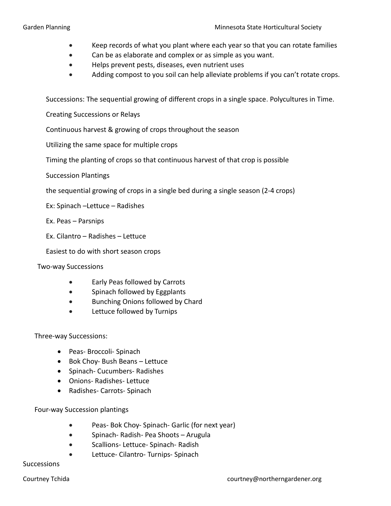- Keep records of what you plant where each year so that you can rotate families
- Can be as elaborate and complex or as simple as you want.
- Helps prevent pests, diseases, even nutrient uses
- Adding compost to you soil can help alleviate problems if you can't rotate crops.

Successions: The sequential growing of different crops in a single space. Polycultures in Time.

Creating Successions or Relays

Continuous harvest & growing of crops throughout the season

Utilizing the same space for multiple crops

Timing the planting of crops so that continuous harvest of that crop is possible

Succession Plantings

the sequential growing of crops in a single bed during a single season (2-4 crops)

Ex: Spinach –Lettuce – Radishes

Ex. Peas – Parsnips

Ex. Cilantro – Radishes – Lettuce

Easiest to do with short season crops

Two-way Successions

- Early Peas followed by Carrots
- Spinach followed by Eggplants
- **•** Bunching Onions followed by Chard
- Lettuce followed by Turnips

Three-way Successions:

- Peas- Broccoli- Spinach
- Bok Choy- Bush Beans Lettuce
- Spinach- Cucumbers- Radishes
- Onions- Radishes- Lettuce
- Radishes- Carrots- Spinach

Four-way Succession plantings

- Peas- Bok Choy- Spinach- Garlic (for next year)
- Spinach- Radish- Pea Shoots Arugula
- Scallions- Lettuce- Spinach- Radish
- Lettuce- Cilantro- Turnips- Spinach

Successions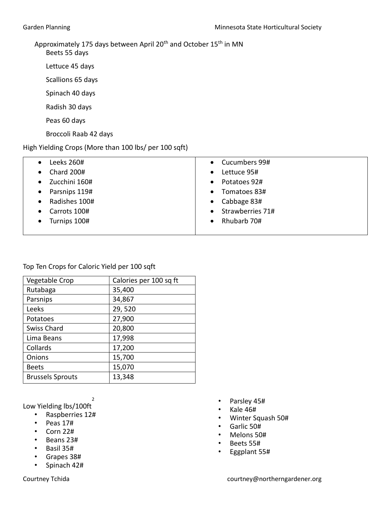# Approximately 175 days between April 20<sup>th</sup> and October 15<sup>th</sup> in MN

Beets 55 days

Lettuce 45 days

Scallions 65 days

Spinach 40 days

Radish 30 days

Peas 60 days

Broccoli Raab 42 days

# High Yielding Crops (More than 100 lbs/ per 100 sqft)

| Leeks 260#<br>$\bullet$        | • Cucumbers 99#               |
|--------------------------------|-------------------------------|
| <b>Chard 200#</b><br>$\bullet$ | Lettuce 95#<br>$\bullet$      |
| Zucchini 160#<br>$\bullet$     | • Potatoes 92#                |
| Parsnips 119#<br>$\bullet$     | Tomatoes 83#<br>$\bullet$     |
| Radishes 100#<br>$\bullet$     | $\bullet$ Cabbage 83#         |
| Carrots 100#<br>$\bullet$      | Strawberries 71#<br>$\bullet$ |
| Turnips 100#                   | Rhubarb 70#<br>$\bullet$      |
|                                |                               |

Top Ten Crops for Caloric Yield per 100 sqft

| Vegetable Crop          | Calories per 100 sq ft |
|-------------------------|------------------------|
| Rutabaga                | 35,400                 |
| Parsnips                | 34,867                 |
| Leeks                   | 29,520                 |
| Potatoes                | 27,900                 |
| <b>Swiss Chard</b>      | 20,800                 |
| Lima Beans              | 17,998                 |
| Collards                | 17,200                 |
| Onions                  | 15,700                 |
| <b>Beets</b>            | 15,070                 |
| <b>Brussels Sprouts</b> | 13,348                 |

Low Yielding lbs/100ft 2

- Raspberries 12#
- Peas 17#
- Corn 22#
- Beans 23#
- Basil 35#
- Grapes 38#
- Spinach 42#
- Parsley 45#
- Kale 46#
- Winter Squash 50#
- Garlic 50#
- Melons 50#
- Beets 55#
- Eggplant 55#